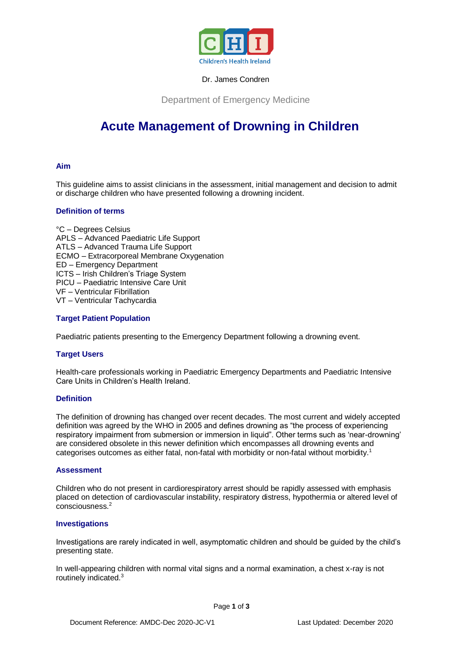

# Dr. James Condren

Department of Emergency Medicine

# **Acute Management of Drowning in Children**

# **Aim**

This guideline aims to assist clinicians in the assessment, initial management and decision to admit or discharge children who have presented following a drowning incident.

# **Definition of terms**

°C – Degrees Celsius APLS – Advanced Paediatric Life Support ATLS – Advanced Trauma Life Support ECMO – Extracorporeal Membrane Oxygenation ED – Emergency Department ICTS – Irish Children's Triage System PICU – Paediatric Intensive Care Unit VF – Ventricular Fibrillation VT – Ventricular Tachycardia

# **Target Patient Population**

Paediatric patients presenting to the Emergency Department following a drowning event.

## **Target Users**

Health-care professionals working in Paediatric Emergency Departments and Paediatric Intensive Care Units in Children's Health Ireland.

## **Definition**

The definition of drowning has changed over recent decades. The most current and widely accepted definition was agreed by the WHO in 2005 and defines drowning as "the process of experiencing respiratory impairment from submersion or immersion in liquid". Other terms such as 'near-drowning' are considered obsolete in this newer definition which encompasses all drowning events and categorises outcomes as either fatal, non-fatal with morbidity or non-fatal without morbidity.<sup>1</sup>

## **Assessment**

Children who do not present in cardiorespiratory arrest should be rapidly assessed with emphasis placed on detection of cardiovascular instability, respiratory distress, hypothermia or altered level of consciousness.<sup>2</sup>

## **Investigations**

Investigations are rarely indicated in well, asymptomatic children and should be guided by the child's presenting state.

In well-appearing children with normal vital signs and a normal examination, a chest x-ray is not routinely indicated.3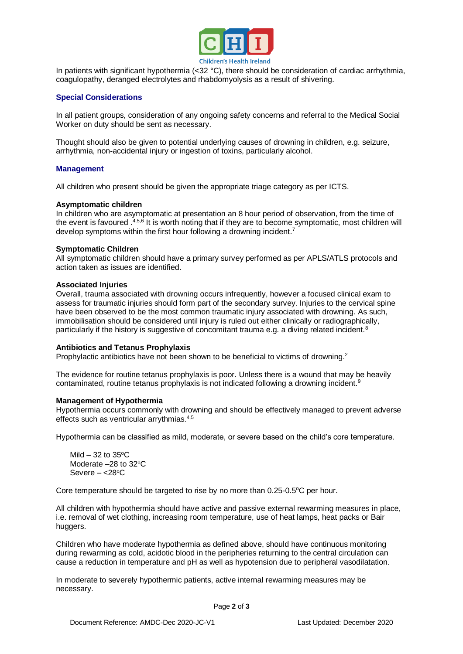

In patients with significant hypothermia ( $<$ 32 °C), there should be consideration of cardiac arrhythmia, coagulopathy, deranged electrolytes and rhabdomyolysis as a result of shivering.

# **Special Considerations**

In all patient groups, consideration of any ongoing safety concerns and referral to the Medical Social Worker on duty should be sent as necessary.

Thought should also be given to potential underlying causes of drowning in children, e.g. seizure, arrhythmia, non-accidental injury or ingestion of toxins, particularly alcohol.

## **Management**

All children who present should be given the appropriate triage category as per ICTS.

#### **Asymptomatic children**

In children who are asymptomatic at presentation an 8 hour period of observation, from the time of the event is favoured .<sup>4,5,6</sup> It is worth noting that if they are to become symptomatic, most children will develop symptoms within the first hour following a drowning incident.<sup>7</sup>

#### **Symptomatic Children**

All symptomatic children should have a primary survey performed as per APLS/ATLS protocols and action taken as issues are identified.

#### **Associated Injuries**

Overall, trauma associated with drowning occurs infrequently, however a focused clinical exam to assess for traumatic injuries should form part of the secondary survey. Injuries to the cervical spine have been observed to be the most common traumatic injury associated with drowning. As such, immobilisation should be considered until injury is ruled out either clinically or radiographically, particularly if the history is suggestive of concomitant trauma e.g. a diving related incident.<sup>8</sup>

## **Antibiotics and Tetanus Prophylaxis**

Prophylactic antibiotics have not been shown to be beneficial to victims of drowning.<sup>2</sup>

The evidence for routine tetanus prophylaxis is poor. Unless there is a wound that may be heavily contaminated, routine tetanus prophylaxis is not indicated following a drowning incident.<sup>9</sup>

## **Management of Hypothermia**

Hypothermia occurs commonly with drowning and should be effectively managed to prevent adverse effects such as ventricular arrythmias.4,5

Hypothermia can be classified as mild, moderate, or severe based on the child's core temperature.

Mild  $-32$  to  $35^{\circ}$ C Moderate  $-28$  to  $32^{\circ}$ C Severe  $- <28$ <sup>o</sup>C

Core temperature should be targeted to rise by no more than  $0.25$ - $0.5^{\circ}$ C per hour.

All children with hypothermia should have active and passive external rewarming measures in place, i.e. removal of wet clothing, increasing room temperature, use of heat lamps, heat packs or Bair huggers.

Children who have moderate hypothermia as defined above, should have continuous monitoring during rewarming as cold, acidotic blood in the peripheries returning to the central circulation can cause a reduction in temperature and pH as well as hypotension due to peripheral vasodilatation.

In moderate to severely hypothermic patients, active internal rewarming measures may be necessary.